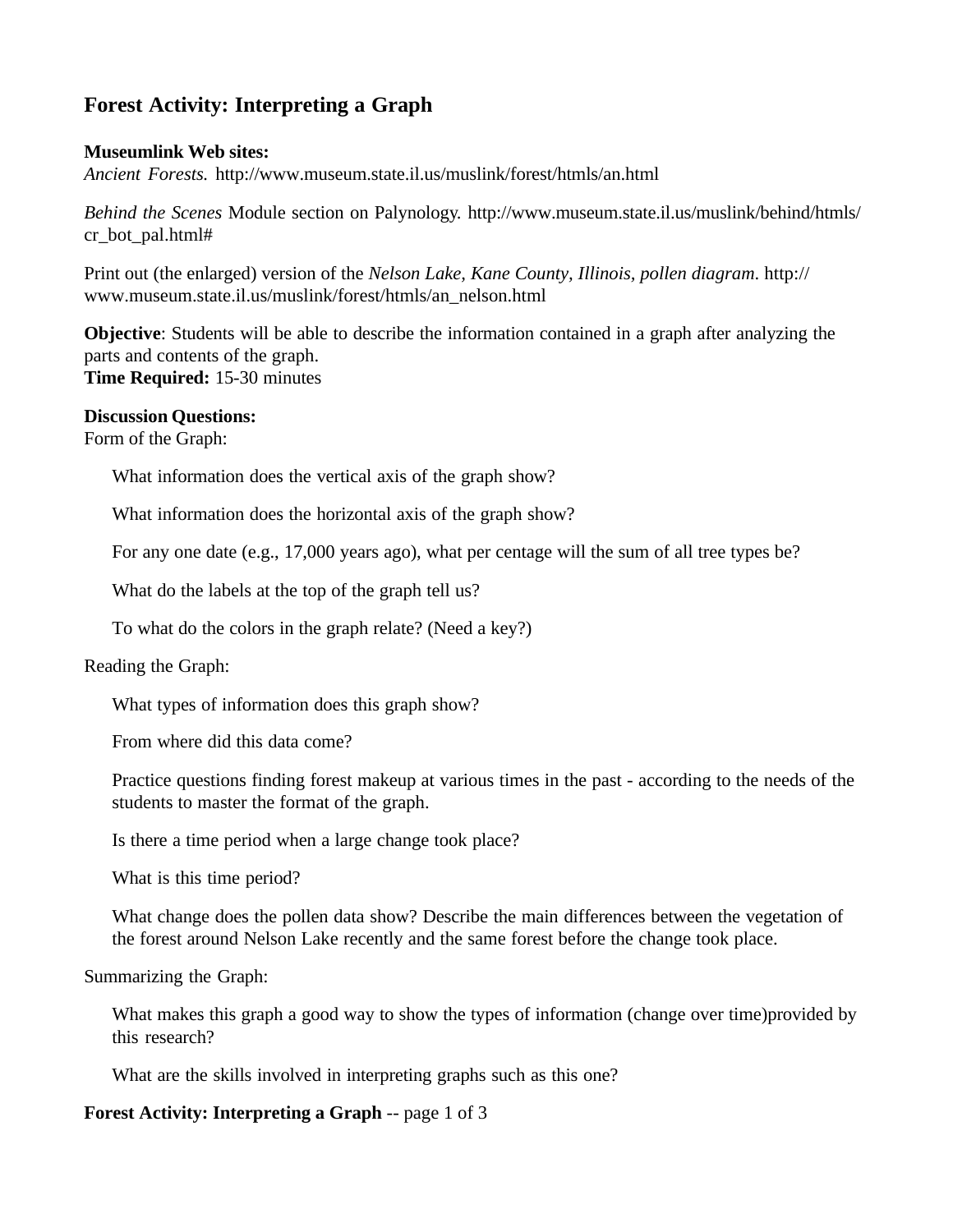# **Forest Activity: Interpreting a Graph**

### **Museumlink Web sites:**

*Ancient Forests.* http://www.museum.state.il.us/muslink/forest/htmls/an.html

*Behind the Scenes* Module section on Palynology. http://www.museum.state.il.us/muslink/behind/htmls/ cr\_bot\_pal.html#

Print out (the enlarged) version of the *Nelson Lake, Kane County, Illinois, pollen diagram*. http:// www.museum.state.il.us/muslink/forest/htmls/an\_nelson.html

**Objective**: Students will be able to describe the information contained in a graph after analyzing the parts and contents of the graph. **Time Required:** 15-30 minutes

### **Discussion Questions:**

Form of the Graph:

What information does the vertical axis of the graph show?

What information does the horizontal axis of the graph show?

For any one date (e.g., 17,000 years ago), what per centage will the sum of all tree types be?

What do the labels at the top of the graph tell us?

To what do the colors in the graph relate? (Need a key?)

# Reading the Graph:

What types of information does this graph show?

From where did this data come?

Practice questions finding forest makeup at various times in the past - according to the needs of the students to master the format of the graph.

Is there a time period when a large change took place?

What is this time period?

What change does the pollen data show? Describe the main differences between the vegetation of the forest around Nelson Lake recently and the same forest before the change took place.

Summarizing the Graph:

What makes this graph a good way to show the types of information (change over time)provided by this research?

What are the skills involved in interpreting graphs such as this one?

# **Forest Activity: Interpreting a Graph** -- page 1 of 3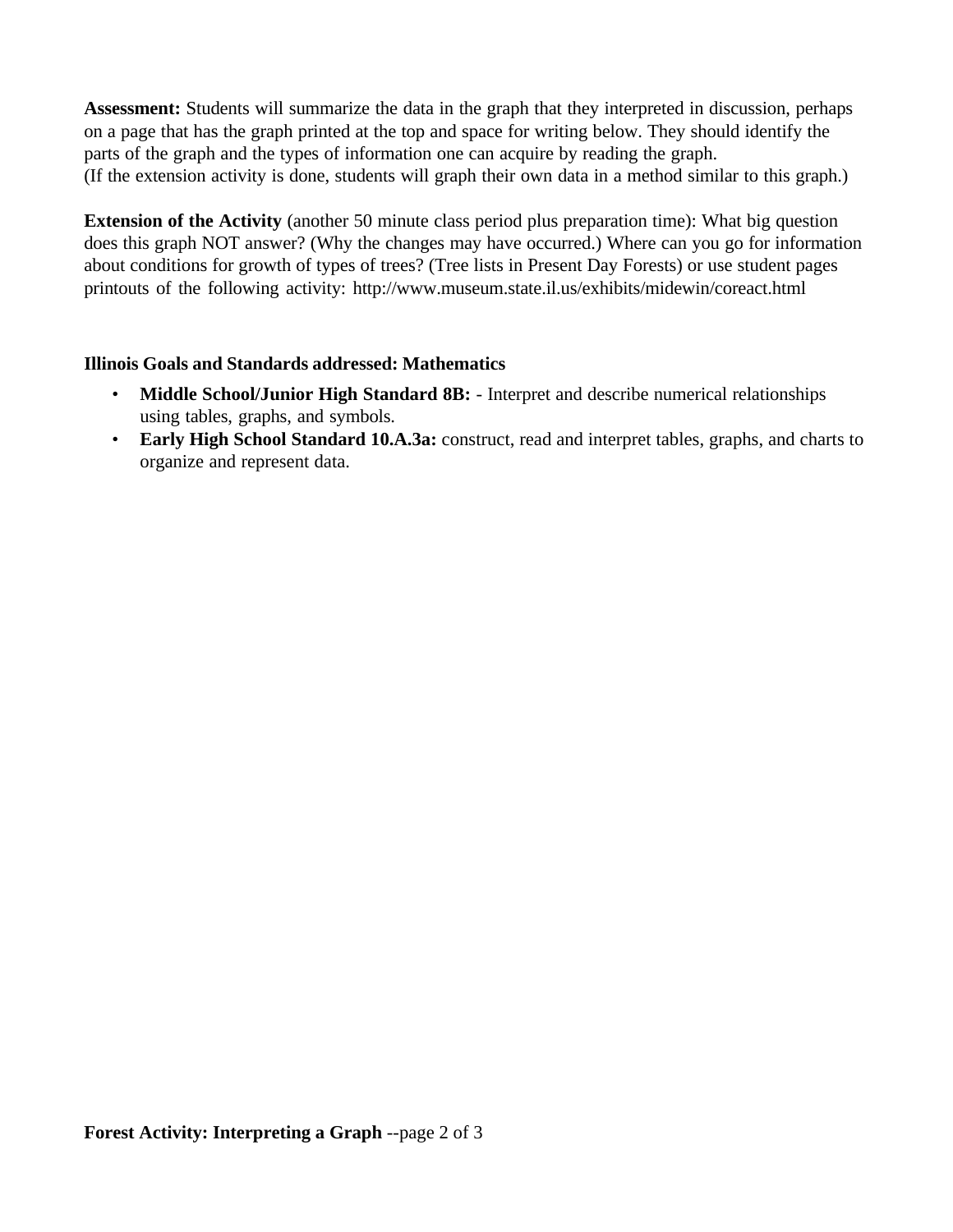**Assessment:** Students will summarize the data in the graph that they interpreted in discussion, perhaps on a page that has the graph printed at the top and space for writing below. They should identify the parts of the graph and the types of information one can acquire by reading the graph. (If the extension activity is done, students will graph their own data in a method similar to this graph.)

**Extension of the Activity** (another 50 minute class period plus preparation time): What big question does this graph NOT answer? (Why the changes may have occurred.) Where can you go for information about conditions for growth of types of trees? (Tree lists in Present Day Forests) or use student pages printouts of the following activity: http://www.museum.state.il.us/exhibits/midewin/coreact.html

# **Illinois Goals and Standards addressed: Mathematics**

- **Middle School/Junior High Standard 8B:** Interpret and describe numerical relationships using tables, graphs, and symbols.
- **Early High School Standard 10.A.3a:** construct, read and interpret tables, graphs, and charts to organize and represent data.